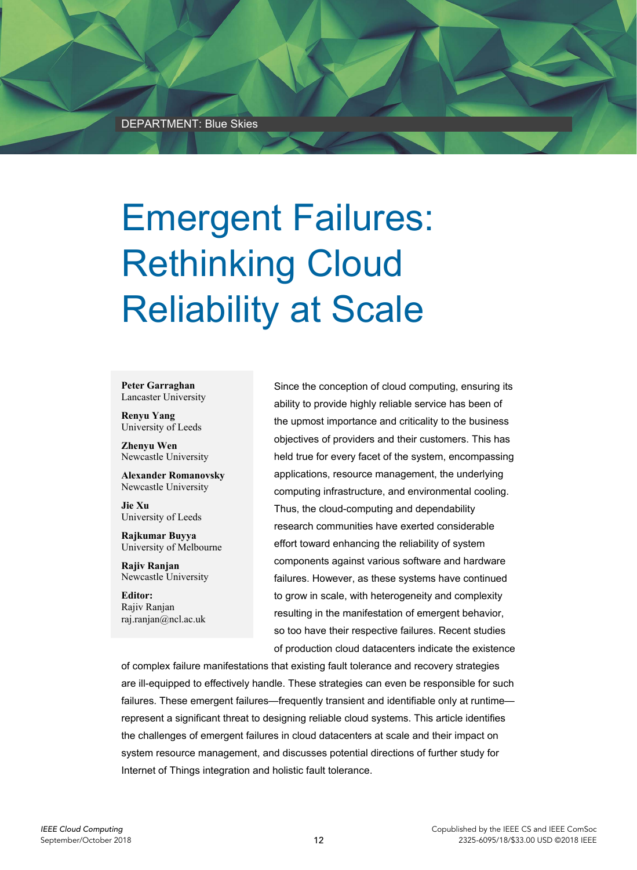DEPARTMENT: Blue Skies

# Emergent Failures: Rethinking Cloud Reliability at Scale

**Peter Garraghan**  Lancaster University

**Renyu Yang**  University of Leeds

**Zhenyu Wen**  Newcastle University

**Alexander Romanovsky**  Newcastle University

**Jie Xu**  University of Leeds

**Rajkumar Buyya**  University of Melbourne

**Rajiv Ranjan**  Newcastle University

**Editor:**  Rajiv Ranjan raj.ranjan@ncl.ac.uk Since the conception of cloud computing, ensuring its ability to provide highly reliable service has been of the upmost importance and criticality to the business objectives of providers and their customers. This has held true for every facet of the system, encompassing applications, resource management, the underlying computing infrastructure, and environmental cooling. Thus, the cloud-computing and dependability research communities have exerted considerable effort toward enhancing the reliability of system components against various software and hardware failures. However, as these systems have continued to grow in scale, with heterogeneity and complexity resulting in the manifestation of emergent behavior, so too have their respective failures. Recent studies of production cloud datacenters indicate the existence

of complex failure manifestations that existing fault tolerance and recovery strategies are ill-equipped to effectively handle. These strategies can even be responsible for such failures. These emergent failures—frequently transient and identifiable only at runtime represent a significant threat to designing reliable cloud systems. This article identifies the challenges of emergent failures in cloud datacenters at scale and their impact on system resource management, and discusses potential directions of further study for Internet of Things integration and holistic fault tolerance.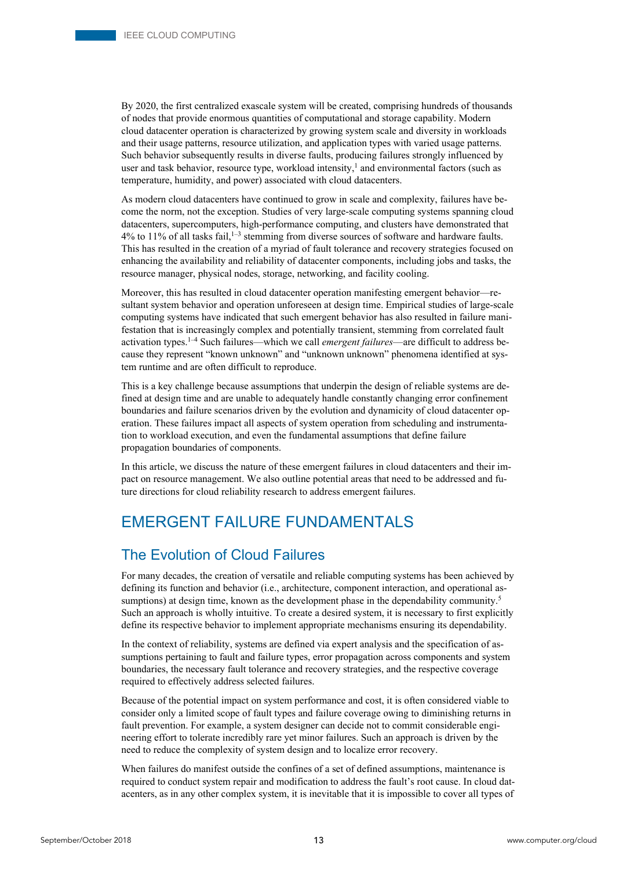By 2020, the first centralized exascale system will be created, comprising hundreds of thousands of nodes that provide enormous quantities of computational and storage capability. Modern cloud datacenter operation is characterized by growing system scale and diversity in workloads and their usage patterns, resource utilization, and application types with varied usage patterns. Such behavior subsequently results in diverse faults, producing failures strongly influenced by user and task behavior, resource type, workload intensity, $\frac{1}{2}$  and environmental factors (such as temperature, humidity, and power) associated with cloud datacenters.

As modern cloud datacenters have continued to grow in scale and complexity, failures have become the norm, not the exception. Studies of very large-scale computing systems spanning cloud datacenters, supercomputers, high-performance computing, and clusters have demonstrated that  $4\%$  to 11% of all tasks fail,  $1-3$  stemming from diverse sources of software and hardware faults. This has resulted in the creation of a myriad of fault tolerance and recovery strategies focused on enhancing the availability and reliability of datacenter components, including jobs and tasks, the resource manager, physical nodes, storage, networking, and facility cooling.

Moreover, this has resulted in cloud datacenter operation manifesting emergent behavior—resultant system behavior and operation unforeseen at design time. Empirical studies of large-scale computing systems have indicated that such emergent behavior has also resulted in failure manifestation that is increasingly complex and potentially transient, stemming from correlated fault activation types.1–4 Such failures—which we call *emergent failures*—are difficult to address because they represent "known unknown" and "unknown unknown" phenomena identified at system runtime and are often difficult to reproduce.

This is a key challenge because assumptions that underpin the design of reliable systems are defined at design time and are unable to adequately handle constantly changing error confinement boundaries and failure scenarios driven by the evolution and dynamicity of cloud datacenter operation. These failures impact all aspects of system operation from scheduling and instrumentation to workload execution, and even the fundamental assumptions that define failure propagation boundaries of components.

In this article, we discuss the nature of these emergent failures in cloud datacenters and their impact on resource management. We also outline potential areas that need to be addressed and future directions for cloud reliability research to address emergent failures.

# EMERGENT FAILURE FUNDAMENTALS

## The Evolution of Cloud Failures

For many decades, the creation of versatile and reliable computing systems has been achieved by defining its function and behavior (i.e., architecture, component interaction, and operational assumptions) at design time, known as the development phase in the dependability community.<sup>5</sup> Such an approach is wholly intuitive. To create a desired system, it is necessary to first explicitly define its respective behavior to implement appropriate mechanisms ensuring its dependability.

In the context of reliability, systems are defined via expert analysis and the specification of assumptions pertaining to fault and failure types, error propagation across components and system boundaries, the necessary fault tolerance and recovery strategies, and the respective coverage required to effectively address selected failures.

Because of the potential impact on system performance and cost, it is often considered viable to consider only a limited scope of fault types and failure coverage owing to diminishing returns in fault prevention. For example, a system designer can decide not to commit considerable engineering effort to tolerate incredibly rare yet minor failures. Such an approach is driven by the need to reduce the complexity of system design and to localize error recovery.

When failures do manifest outside the confines of a set of defined assumptions, maintenance is required to conduct system repair and modification to address the fault's root cause. In cloud datacenters, as in any other complex system, it is inevitable that it is impossible to cover all types of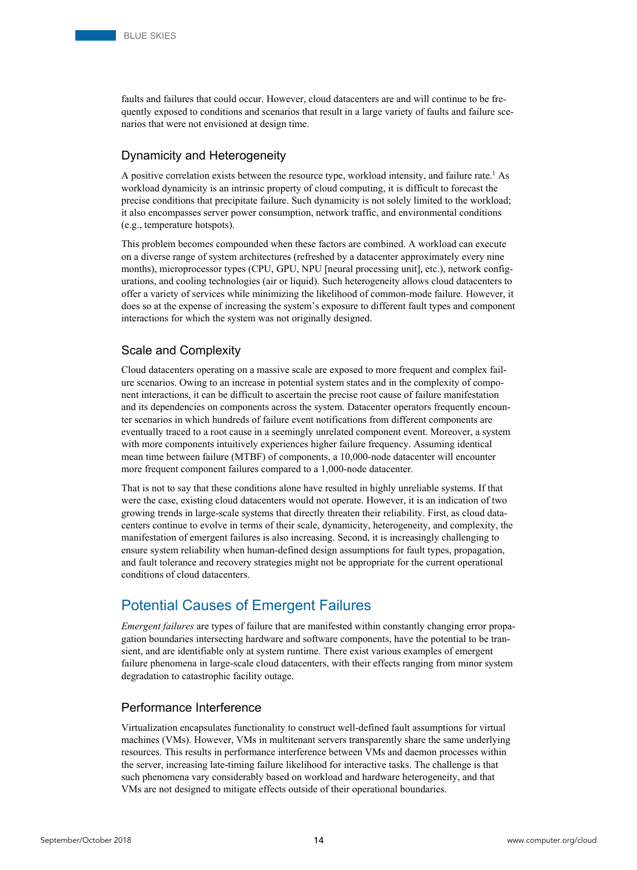faults and failures that could occur. However, cloud datacenters are and will continue to be frequently exposed to conditions and scenarios that result in a large variety of faults and failure scenarios that were not envisioned at design time.

#### Dynamicity and Heterogeneity

A positive correlation exists between the resource type, workload intensity, and failure rate.<sup>1</sup> As workload dynamicity is an intrinsic property of cloud computing, it is difficult to forecast the precise conditions that precipitate failure. Such dynamicity is not solely limited to the workload; it also encompasses server power consumption, network traffic, and environmental conditions (e.g., temperature hotspots).

This problem becomes compounded when these factors are combined. A workload can execute on a diverse range of system architectures (refreshed by a datacenter approximately every nine months), microprocessor types (CPU, GPU, NPU [neural processing unit], etc.), network configurations, and cooling technologies (air or liquid). Such heterogeneity allows cloud datacenters to offer a variety of services while minimizing the likelihood of common-mode failure. However, it does so at the expense of increasing the system's exposure to different fault types and component interactions for which the system was not originally designed.

#### Scale and Complexity

Cloud datacenters operating on a massive scale are exposed to more frequent and complex failure scenarios. Owing to an increase in potential system states and in the complexity of component interactions, it can be difficult to ascertain the precise root cause of failure manifestation and its dependencies on components across the system. Datacenter operators frequently encounter scenarios in which hundreds of failure event notifications from different components are eventually traced to a root cause in a seemingly unrelated component event. Moreover, a system with more components intuitively experiences higher failure frequency. Assuming identical mean time between failure (MTBF) of components, a 10,000-node datacenter will encounter more frequent component failures compared to a 1,000-node datacenter.

That is not to say that these conditions alone have resulted in highly unreliable systems. If that were the case, existing cloud datacenters would not operate. However, it is an indication of two growing trends in large-scale systems that directly threaten their reliability. First, as cloud datacenters continue to evolve in terms of their scale, dynamicity, heterogeneity, and complexity, the manifestation of emergent failures is also increasing. Second, it is increasingly challenging to ensure system reliability when human-defined design assumptions for fault types, propagation, and fault tolerance and recovery strategies might not be appropriate for the current operational conditions of cloud datacenters.

## Potential Causes of Emergent Failures

*Emergent failures* are types of failure that are manifested within constantly changing error propagation boundaries intersecting hardware and software components, have the potential to be transient, and are identifiable only at system runtime. There exist various examples of emergent failure phenomena in large-scale cloud datacenters, with their effects ranging from minor system degradation to catastrophic facility outage.

#### Performance Interference

Virtualization encapsulates functionality to construct well-defined fault assumptions for virtual machines (VMs). However, VMs in multitenant servers transparently share the same underlying resources. This results in performance interference between VMs and daemon processes within the server, increasing late-timing failure likelihood for interactive tasks. The challenge is that such phenomena vary considerably based on workload and hardware heterogeneity, and that VMs are not designed to mitigate effects outside of their operational boundaries.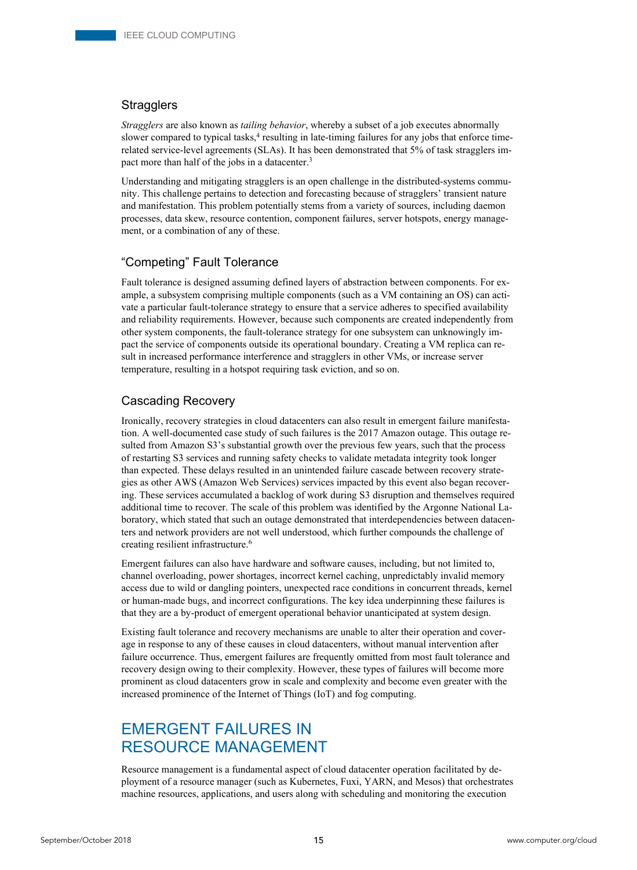#### **Stragglers**

*Stragglers* are also known as *tailing behavior*, whereby a subset of a job executes abnormally slower compared to typical tasks,<sup>4</sup> resulting in late-timing failures for any jobs that enforce timerelated service-level agreements (SLAs). It has been demonstrated that 5% of task stragglers impact more than half of the jobs in a datacenter.<sup>3</sup>

Understanding and mitigating stragglers is an open challenge in the distributed-systems community. This challenge pertains to detection and forecasting because of stragglers' transient nature and manifestation. This problem potentially stems from a variety of sources, including daemon processes, data skew, resource contention, component failures, server hotspots, energy management, or a combination of any of these.

#### "Competing" Fault Tolerance

Fault tolerance is designed assuming defined layers of abstraction between components. For example, a subsystem comprising multiple components (such as a VM containing an OS) can activate a particular fault-tolerance strategy to ensure that a service adheres to specified availability and reliability requirements. However, because such components are created independently from other system components, the fault-tolerance strategy for one subsystem can unknowingly impact the service of components outside its operational boundary. Creating a VM replica can result in increased performance interference and stragglers in other VMs, or increase server temperature, resulting in a hotspot requiring task eviction, and so on.

#### Cascading Recovery

Ironically, recovery strategies in cloud datacenters can also result in emergent failure manifestation. A well-documented case study of such failures is the 2017 Amazon outage. This outage resulted from Amazon S3's substantial growth over the previous few years, such that the process of restarting S3 services and running safety checks to validate metadata integrity took longer than expected. These delays resulted in an unintended failure cascade between recovery strategies as other AWS (Amazon Web Services) services impacted by this event also began recovering. These services accumulated a backlog of work during S3 disruption and themselves required additional time to recover. The scale of this problem was identified by the Argonne National Laboratory, which stated that such an outage demonstrated that interdependencies between datacenters and network providers are not well understood, which further compounds the challenge of creating resilient infrastructure.6

Emergent failures can also have hardware and software causes, including, but not limited to, channel overloading, power shortages, incorrect kernel caching, unpredictably invalid memory access due to wild or dangling pointers, unexpected race conditions in concurrent threads, kernel or human-made bugs, and incorrect configurations. The key idea underpinning these failures is that they are a by-product of emergent operational behavior unanticipated at system design.

Existing fault tolerance and recovery mechanisms are unable to alter their operation and coverage in response to any of these causes in cloud datacenters, without manual intervention after failure occurrence. Thus, emergent failures are frequently omitted from most fault tolerance and recovery design owing to their complexity. However, these types of failures will become more prominent as cloud datacenters grow in scale and complexity and become even greater with the increased prominence of the Internet of Things (IoT) and fog computing.

# EMERGENT FAILURES IN RESOURCE MANAGEMENT

Resource management is a fundamental aspect of cloud datacenter operation facilitated by deployment of a resource manager (such as Kubernetes, Fuxi, YARN, and Mesos) that orchestrates machine resources, applications, and users along with scheduling and monitoring the execution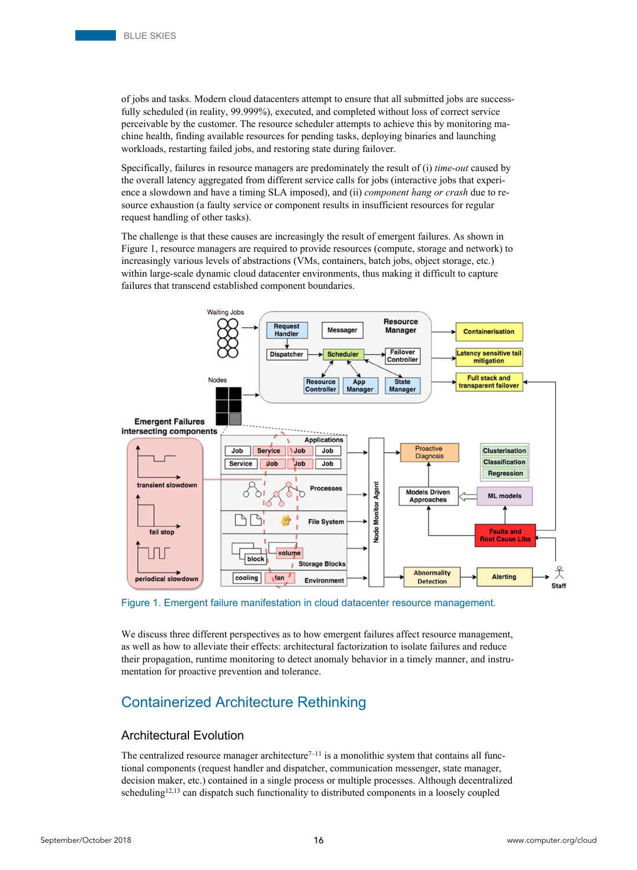of jobs and tasks. Modern cloud datacenters attempt to ensure that all submitted jobs are successfully scheduled (in reality, 99.999%), executed, and completed without loss of correct service perceivable by the customer. The resource scheduler attempts to achieve this by monitoring machine health, finding available resources for pending tasks, deploying binaries and launching workloads, restarting failed jobs, and restoring state during failover.

Specifically, failures in resource managers are predominately the result of (i) *time-out* caused by the overall latency aggregated from different service calls for jobs (interactive jobs that experience a slowdown and have a timing SLA imposed), and (ii) *component hang or crash* due to resource exhaustion (a faulty service or component results in insufficient resources for regular request handling of other tasks).

The challenge is that these causes are increasingly the result of emergent failures. As shown in Figure 1, resource managers are required to provide resources (compute, storage and network) to increasingly various levels of abstractions (VMs, containers, batch jobs, object storage, etc.) within large-scale dynamic cloud datacenter environments, thus making it difficult to capture failures that transcend established component boundaries.



Figure 1. Emergent failure manifestation in cloud datacenter resource management.

We discuss three different perspectives as to how emergent failures affect resource management, as well as how to alleviate their effects: architectural factorization to isolate failures and reduce their propagation, runtime monitoring to detect anomaly behavior in a timely manner, and instrumentation for proactive prevention and tolerance.

# Containerized Architecture Rethinking

## Architectural Evolution

The centralized resource manager architecture<sup> $7-11$ </sup> is a monolithic system that contains all functional components (request handler and dispatcher, communication messenger, state manager, decision maker, etc.) contained in a single process or multiple processes. Although decentralized scheduling<sup>12,13</sup> can dispatch such functionality to distributed components in a loosely coupled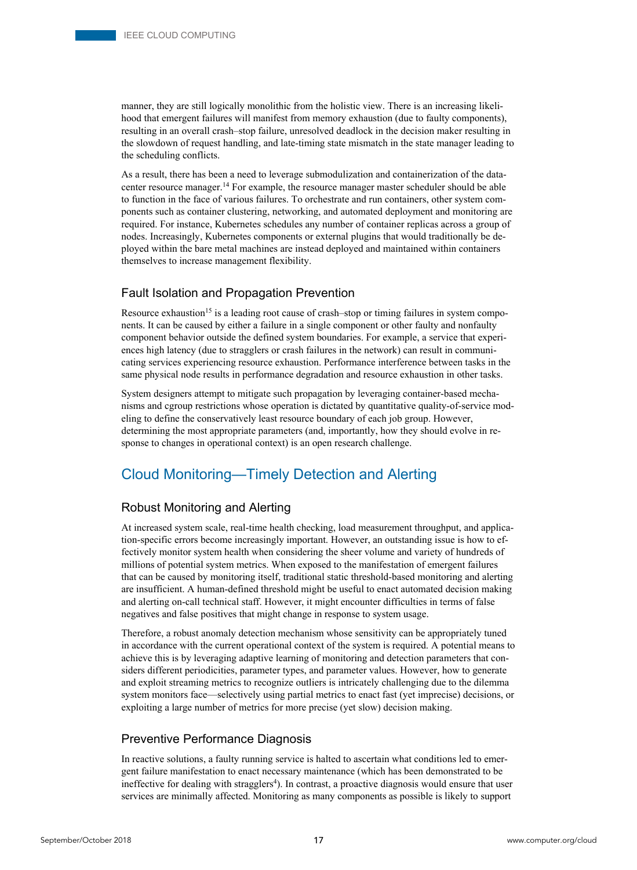manner, they are still logically monolithic from the holistic view. There is an increasing likelihood that emergent failures will manifest from memory exhaustion (due to faulty components), resulting in an overall crash–stop failure, unresolved deadlock in the decision maker resulting in the slowdown of request handling, and late-timing state mismatch in the state manager leading to the scheduling conflicts.

As a result, there has been a need to leverage submodulization and containerization of the datacenter resource manager.14 For example, the resource manager master scheduler should be able to function in the face of various failures. To orchestrate and run containers, other system components such as container clustering, networking, and automated deployment and monitoring are required. For instance, Kubernetes schedules any number of container replicas across a group of nodes. Increasingly, Kubernetes components or external plugins that would traditionally be deployed within the bare metal machines are instead deployed and maintained within containers themselves to increase management flexibility.

### Fault Isolation and Propagation Prevention

Resource exhaustion<sup>15</sup> is a leading root cause of crash–stop or timing failures in system components. It can be caused by either a failure in a single component or other faulty and nonfaulty component behavior outside the defined system boundaries. For example, a service that experiences high latency (due to stragglers or crash failures in the network) can result in communicating services experiencing resource exhaustion. Performance interference between tasks in the same physical node results in performance degradation and resource exhaustion in other tasks.

System designers attempt to mitigate such propagation by leveraging container-based mechanisms and cgroup restrictions whose operation is dictated by quantitative quality-of-service modeling to define the conservatively least resource boundary of each job group. However, determining the most appropriate parameters (and, importantly, how they should evolve in response to changes in operational context) is an open research challenge.

# Cloud Monitoring—Timely Detection and Alerting

## Robust Monitoring and Alerting

At increased system scale, real-time health checking, load measurement throughput, and application-specific errors become increasingly important. However, an outstanding issue is how to effectively monitor system health when considering the sheer volume and variety of hundreds of millions of potential system metrics. When exposed to the manifestation of emergent failures that can be caused by monitoring itself, traditional static threshold-based monitoring and alerting are insufficient. A human-defined threshold might be useful to enact automated decision making and alerting on-call technical staff. However, it might encounter difficulties in terms of false negatives and false positives that might change in response to system usage.

Therefore, a robust anomaly detection mechanism whose sensitivity can be appropriately tuned in accordance with the current operational context of the system is required. A potential means to achieve this is by leveraging adaptive learning of monitoring and detection parameters that considers different periodicities, parameter types, and parameter values. However, how to generate and exploit streaming metrics to recognize outliers is intricately challenging due to the dilemma system monitors face—selectively using partial metrics to enact fast (yet imprecise) decisions, or exploiting a large number of metrics for more precise (yet slow) decision making.

## Preventive Performance Diagnosis

In reactive solutions, a faulty running service is halted to ascertain what conditions led to emergent failure manifestation to enact necessary maintenance (which has been demonstrated to be ineffective for dealing with stragglers<sup>4</sup>). In contrast, a proactive diagnosis would ensure that user services are minimally affected. Monitoring as many components as possible is likely to support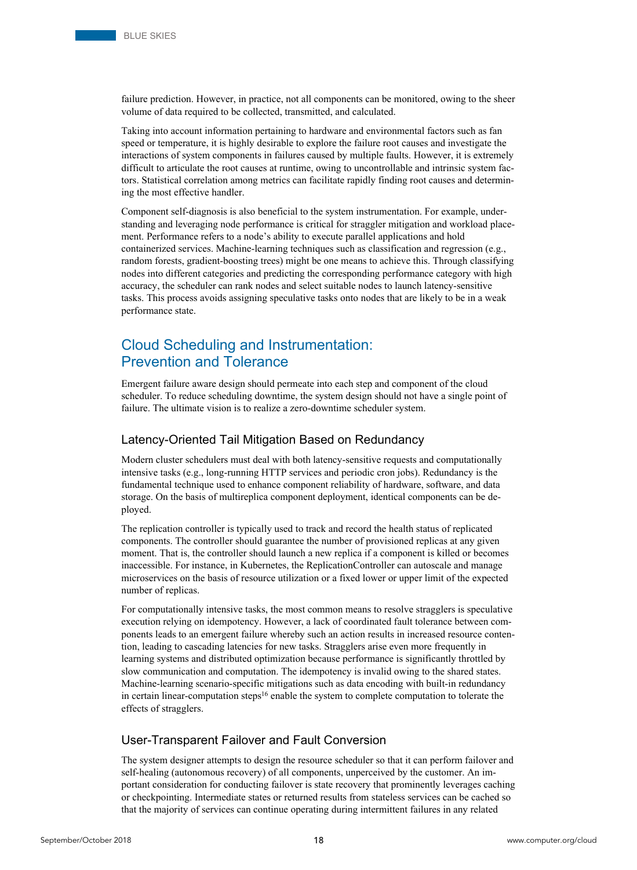failure prediction. However, in practice, not all components can be monitored, owing to the sheer volume of data required to be collected, transmitted, and calculated.

Taking into account information pertaining to hardware and environmental factors such as fan speed or temperature, it is highly desirable to explore the failure root causes and investigate the interactions of system components in failures caused by multiple faults. However, it is extremely difficult to articulate the root causes at runtime, owing to uncontrollable and intrinsic system factors. Statistical correlation among metrics can facilitate rapidly finding root causes and determining the most effective handler.

Component self-diagnosis is also beneficial to the system instrumentation. For example, understanding and leveraging node performance is critical for straggler mitigation and workload placement. Performance refers to a node's ability to execute parallel applications and hold containerized services. Machine-learning techniques such as classification and regression (e.g., random forests, gradient-boosting trees) might be one means to achieve this. Through classifying nodes into different categories and predicting the corresponding performance category with high accuracy, the scheduler can rank nodes and select suitable nodes to launch latency-sensitive tasks. This process avoids assigning speculative tasks onto nodes that are likely to be in a weak performance state.

## Cloud Scheduling and Instrumentation: Prevention and Tolerance

Emergent failure aware design should permeate into each step and component of the cloud scheduler. To reduce scheduling downtime, the system design should not have a single point of failure. The ultimate vision is to realize a zero-downtime scheduler system.

#### Latency-Oriented Tail Mitigation Based on Redundancy

Modern cluster schedulers must deal with both latency-sensitive requests and computationally intensive tasks (e.g., long-running HTTP services and periodic cron jobs). Redundancy is the fundamental technique used to enhance component reliability of hardware, software, and data storage. On the basis of multireplica component deployment, identical components can be deployed.

The replication controller is typically used to track and record the health status of replicated components. The controller should guarantee the number of provisioned replicas at any given moment. That is, the controller should launch a new replica if a component is killed or becomes inaccessible. For instance, in Kubernetes, the ReplicationController can autoscale and manage microservices on the basis of resource utilization or a fixed lower or upper limit of the expected number of replicas.

For computationally intensive tasks, the most common means to resolve stragglers is speculative execution relying on idempotency. However, a lack of coordinated fault tolerance between components leads to an emergent failure whereby such an action results in increased resource contention, leading to cascading latencies for new tasks. Stragglers arise even more frequently in learning systems and distributed optimization because performance is significantly throttled by slow communication and computation. The idempotency is invalid owing to the shared states. Machine-learning scenario-specific mitigations such as data encoding with built-in redundancy in certain linear-computation steps<sup>16</sup> enable the system to complete computation to tolerate the effects of stragglers.

#### User-Transparent Failover and Fault Conversion

The system designer attempts to design the resource scheduler so that it can perform failover and self-healing (autonomous recovery) of all components, unperceived by the customer. An important consideration for conducting failover is state recovery that prominently leverages caching or checkpointing. Intermediate states or returned results from stateless services can be cached so that the majority of services can continue operating during intermittent failures in any related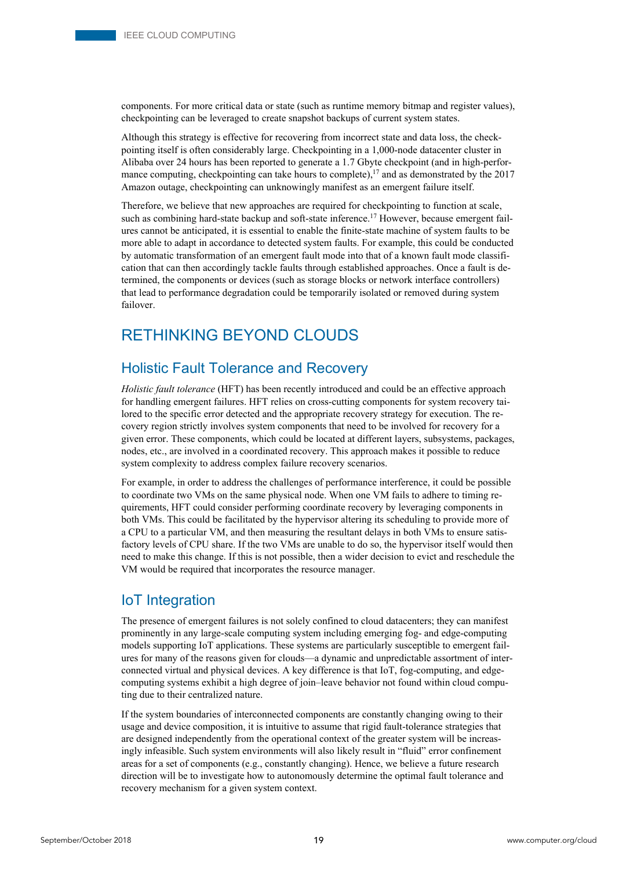components. For more critical data or state (such as runtime memory bitmap and register values), checkpointing can be leveraged to create snapshot backups of current system states.

Although this strategy is effective for recovering from incorrect state and data loss, the checkpointing itself is often considerably large. Checkpointing in a 1,000-node datacenter cluster in Alibaba over 24 hours has been reported to generate a 1.7 Gbyte checkpoint (and in high-performance computing, checkpointing can take hours to complete),<sup>17</sup> and as demonstrated by the 2017 Amazon outage, checkpointing can unknowingly manifest as an emergent failure itself.

Therefore, we believe that new approaches are required for checkpointing to function at scale, such as combining hard-state backup and soft-state inference.<sup>17</sup> However, because emergent failures cannot be anticipated, it is essential to enable the finite-state machine of system faults to be more able to adapt in accordance to detected system faults. For example, this could be conducted by automatic transformation of an emergent fault mode into that of a known fault mode classification that can then accordingly tackle faults through established approaches. Once a fault is determined, the components or devices (such as storage blocks or network interface controllers) that lead to performance degradation could be temporarily isolated or removed during system failover.

# RETHINKING BEYOND CLOUDS

## Holistic Fault Tolerance and Recovery

*Holistic fault tolerance* (HFT) has been recently introduced and could be an effective approach for handling emergent failures. HFT relies on cross-cutting components for system recovery tailored to the specific error detected and the appropriate recovery strategy for execution. The recovery region strictly involves system components that need to be involved for recovery for a given error. These components, which could be located at different layers, subsystems, packages, nodes, etc., are involved in a coordinated recovery. This approach makes it possible to reduce system complexity to address complex failure recovery scenarios.

For example, in order to address the challenges of performance interference, it could be possible to coordinate two VMs on the same physical node. When one VM fails to adhere to timing requirements, HFT could consider performing coordinate recovery by leveraging components in both VMs. This could be facilitated by the hypervisor altering its scheduling to provide more of a CPU to a particular VM, and then measuring the resultant delays in both VMs to ensure satisfactory levels of CPU share. If the two VMs are unable to do so, the hypervisor itself would then need to make this change. If this is not possible, then a wider decision to evict and reschedule the VM would be required that incorporates the resource manager.

## IoT Integration

The presence of emergent failures is not solely confined to cloud datacenters; they can manifest prominently in any large-scale computing system including emerging fog- and edge-computing models supporting IoT applications. These systems are particularly susceptible to emergent failures for many of the reasons given for clouds—a dynamic and unpredictable assortment of interconnected virtual and physical devices. A key difference is that IoT, fog-computing, and edgecomputing systems exhibit a high degree of join–leave behavior not found within cloud computing due to their centralized nature.

If the system boundaries of interconnected components are constantly changing owing to their usage and device composition, it is intuitive to assume that rigid fault-tolerance strategies that are designed independently from the operational context of the greater system will be increasingly infeasible. Such system environments will also likely result in "fluid" error confinement areas for a set of components (e.g., constantly changing). Hence, we believe a future research direction will be to investigate how to autonomously determine the optimal fault tolerance and recovery mechanism for a given system context.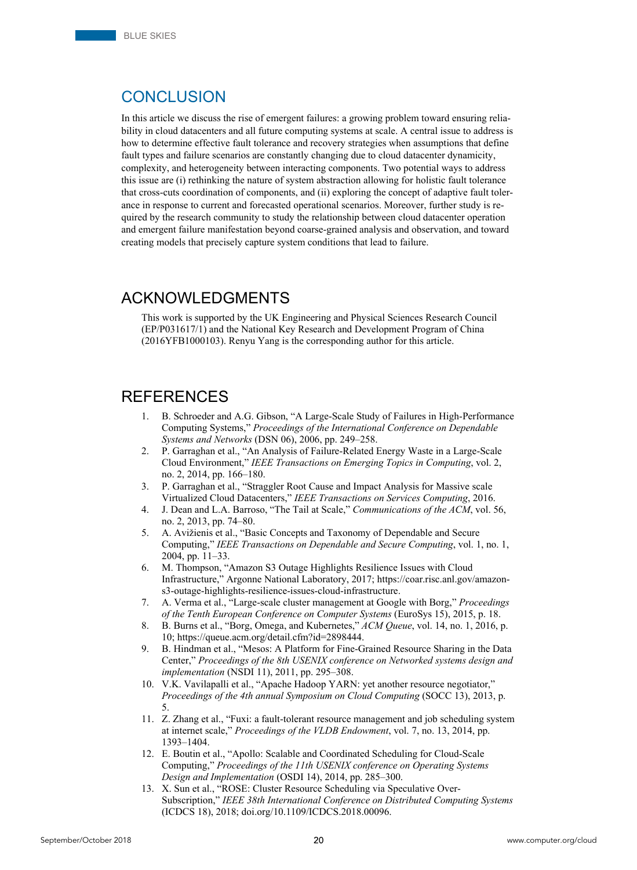# **CONCLUSION**

In this article we discuss the rise of emergent failures: a growing problem toward ensuring reliability in cloud datacenters and all future computing systems at scale. A central issue to address is how to determine effective fault tolerance and recovery strategies when assumptions that define fault types and failure scenarios are constantly changing due to cloud datacenter dynamicity, complexity, and heterogeneity between interacting components. Two potential ways to address this issue are (i) rethinking the nature of system abstraction allowing for holistic fault tolerance that cross-cuts coordination of components, and (ii) exploring the concept of adaptive fault tolerance in response to current and forecasted operational scenarios. Moreover, further study is required by the research community to study the relationship between cloud datacenter operation and emergent failure manifestation beyond coarse-grained analysis and observation, and toward creating models that precisely capture system conditions that lead to failure.

# ACKNOWLEDGMENTS

This work is supported by the UK Engineering and Physical Sciences Research Council (EP/P031617/1) and the National Key Research and Development Program of China (2016YFB1000103). Renyu Yang is the corresponding author for this article.

# **REFERENCES**

- 1. B. Schroeder and A.G. Gibson, "A Large-Scale Study of Failures in High-Performance Computing Systems," *Proceedings of the International Conference on Dependable Systems and Networks* (DSN 06), 2006, pp. 249–258.
- 2. P. Garraghan et al., "An Analysis of Failure-Related Energy Waste in a Large-Scale Cloud Environment," *IEEE Transactions on Emerging Topics in Computing*, vol. 2, no. 2, 2014, pp. 166–180.
- 3. P. Garraghan et al., "Straggler Root Cause and Impact Analysis for Massive scale Virtualized Cloud Datacenters," *IEEE Transactions on Services Computing*, 2016.
- 4. J. Dean and L.A. Barroso, "The Tail at Scale," *Communications of the ACM*, vol. 56, no. 2, 2013, pp. 74–80.
- 5. A. Avižienis et al., "Basic Concepts and Taxonomy of Dependable and Secure Computing," *IEEE Transactions on Dependable and Secure Computing*, vol. 1, no. 1, 2004, pp. 11–33.
- 6. M. Thompson, "Amazon S3 Outage Highlights Resilience Issues with Cloud Infrastructure," Argonne National Laboratory, 2017; https://coar.risc.anl.gov/amazons3-outage-highlights-resilience-issues-cloud-infrastructure.
- 7. A. Verma et al., "Large-scale cluster management at Google with Borg," *Proceedings of the Tenth European Conference on Computer Systems* (EuroSys 15), 2015, p. 18.
- 8. B. Burns et al., "Borg, Omega, and Kubernetes," *ACM Queue*, vol. 14, no. 1, 2016, p. 10; https://queue.acm.org/detail.cfm?id=2898444.
- 9. B. Hindman et al., "Mesos: A Platform for Fine-Grained Resource Sharing in the Data Center," *Proceedings of the 8th USENIX conference on Networked systems design and implementation* (NSDI 11), 2011, pp. 295–308.
- 10. V.K. Vavilapalli et al., "Apache Hadoop YARN: yet another resource negotiator," *Proceedings of the 4th annual Symposium on Cloud Computing* (SOCC 13), 2013, p. 5.
- 11. Z. Zhang et al., "Fuxi: a fault-tolerant resource management and job scheduling system at internet scale," *Proceedings of the VLDB Endowment*, vol. 7, no. 13, 2014, pp. 1393–1404.
- 12. E. Boutin et al., "Apollo: Scalable and Coordinated Scheduling for Cloud-Scale Computing," *Proceedings of the 11th USENIX conference on Operating Systems Design and Implementation* (OSDI 14), 2014, pp. 285–300.
- 13. X. Sun et al., "ROSE: Cluster Resource Scheduling via Speculative Over-Subscription," *IEEE 38th International Conference on Distributed Computing Systems* (ICDCS 18), 2018; doi.org/10.1109/ICDCS.2018.00096.